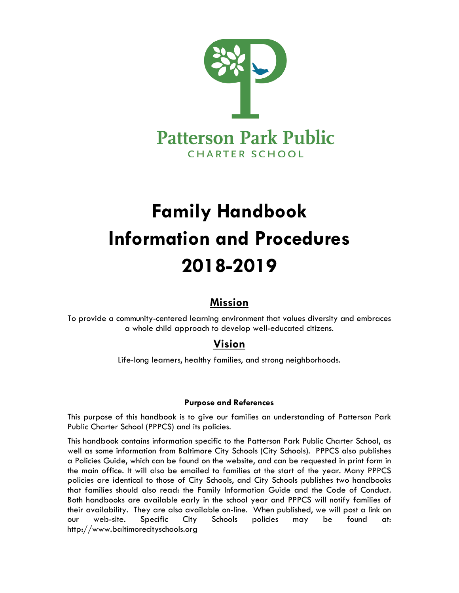

# **Family Handbook Information and Procedures 2018-2019**

# **Mission**

To provide a community-centered learning environment that values diversity and embraces a whole child approach to develop well-educated citizens.

# **Vision**

Life-long learners, healthy families, and strong neighborhoods.

# **Purpose and References**

This purpose of this handbook is to give our families an understanding of Patterson Park Public Charter School (PPPCS) and its policies.

This handbook contains information specific to the Patterson Park Public Charter School, as well as some information from Baltimore City Schools (City Schools). PPPCS also publishes a Policies Guide, which can be found on the website, and can be requested in print form in the main office. It will also be emailed to families at the start of the year. Many PPPCS policies are identical to those of City Schools, and City Schools publishes two handbooks that families should also read: the Family Information Guide and the Code of Conduct. Both handbooks are available early in the school year and PPPCS will notify families of their availability. They are also available on-line. When published, we will post a link on our web-site. Specific City Schools policies may be found at: http://www.baltimorecityschools.org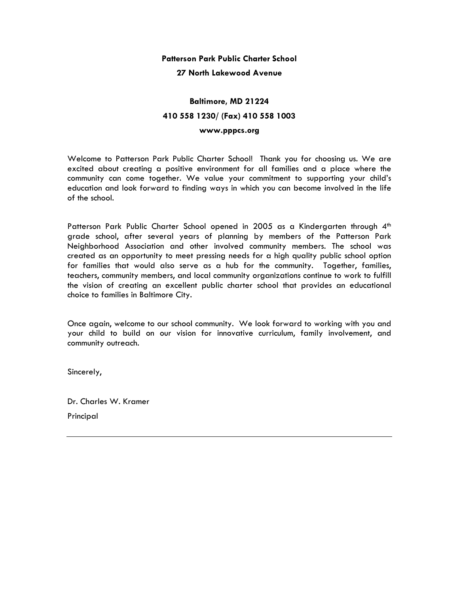# **Patterson Park Public Charter School**

## **27 North Lakewood Avenue**

# **Baltimore, MD 21224 410 558 1230/ (Fax) 410 558 1003**

## **www.pppcs.org**

Welcome to Patterson Park Public Charter School! Thank you for choosing us. We are excited about creating a positive environment for all families and a place where the community can come together. We value your commitment to supporting your child's education and look forward to finding ways in which you can become involved in the life of the school.

Patterson Park Public Charter School opened in 2005 as a Kindergarten through 4<sup>th</sup> grade school, after several years of planning by members of the Patterson Park Neighborhood Association and other involved community members. The school was created as an opportunity to meet pressing needs for a high quality public school option for families that would also serve as a hub for the community. Together, families, teachers, community members, and local community organizations continue to work to fulfill the vision of creating an excellent public charter school that provides an educational choice to families in Baltimore City.

Once again, welcome to our school community. We look forward to working with you and your child to build on our vision for innovative curriculum, family involvement, and community outreach.

Sincerely,

Dr. Charles W. Kramer Principal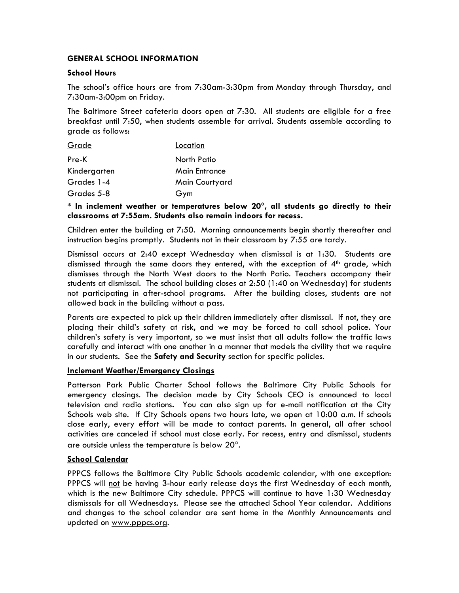# **GENERAL SCHOOL INFORMATION**

# **School Hours**

The school's office hours are from 7:30am-3:30pm from Monday through Thursday, and 7:30am-3:00pm on Friday.

The Baltimore Street cafeteria doors open at 7:30. All students are eligible for a free breakfast until 7:50, when students assemble for arrival. Students assemble according to grade as follows:

| Grade        | Location             |
|--------------|----------------------|
| Pre-K        | North Patio          |
| Kindergarten | <b>Main Entrance</b> |
| Grades 1-4   | Main Courtyard       |
| Grades 5-8   | Gym                  |

**\* In inclement weather or temperatures below 20, all students go directly to their classrooms at 7:55am. Students also remain indoors for recess.** 

Children enter the building at 7:50. Morning announcements begin shortly thereafter and instruction begins promptly. Students not in their classroom by 7:55 are tardy.

Dismissal occurs at 2:40 except Wednesday when dismissal is at 1:30. Students are dismissed through the same doors they entered, with the exception of  $4<sup>th</sup>$  grade, which dismisses through the North West doors to the North Patio. Teachers accompany their students at dismissal. The school building closes at 2:50 (1:40 on Wednesday) for students not participating in after-school programs. After the building closes, students are not allowed back in the building without a pass.

Parents are expected to pick up their children immediately after dismissal. If not, they are placing their child's safety at risk, and we may be forced to call school police. Your children's safety is very important, so we must insist that all adults follow the traffic laws carefully and interact with one another in a manner that models the civility that we require in our students. See the **Safety and Security** section for specific policies.

# **Inclement Weather/Emergency Closings**

Patterson Park Public Charter School follows the Baltimore City Public Schools for emergency closings. The decision made by City Schools CEO is announced to local television and radio stations**.** You can also sign up for e-mail notification at the City Schools web site. If City Schools opens two hours late, we open at 10:00 a.m. If schools close early, every effort will be made to contact parents. In general, all after school activities are canceled if school must close early. For recess, entry and dismissal, students are outside unless the temperature is below  $20^\circ$ .

# **School Calendar**

PPPCS follows the Baltimore City Public Schools academic calendar, with one exception: PPPCS will not be having 3-hour early release days the first Wednesday of each month, which is the new Baltimore City schedule. PPPCS will continue to have 1:30 Wednesday dismissals for all Wednesdays. Please see the attached School Year calendar. Additions and changes to the school calendar are sent home in the Monthly Announcements and updated on www.pppcs.org.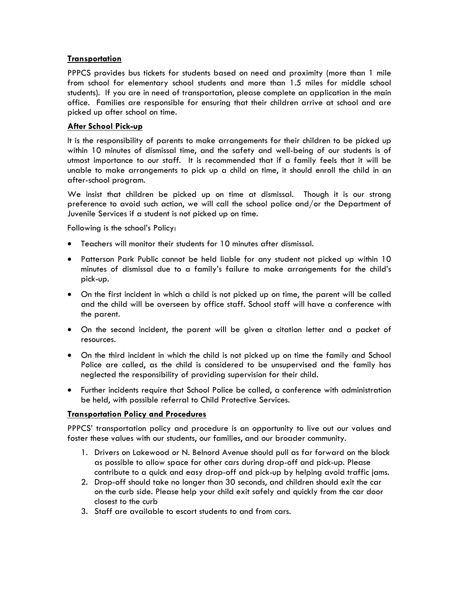# **Transportation**

PPPCS provides bus tickets for students based on need and proximity (more than 1 mile from school for elementary school students and more than 1.5 miles for middle school students). If you are in need of transportation, please complete an application in the main office. Families are responsible for ensuring that their children arrive at school and are picked up after school on time.

# **After School Pick-up**

It is the responsibility of parents to make arrangements for their children to be picked up within 10 minutes of dismissal time, and the safety and well-being of our students is of utmost importance to our staff. It is recommended that if a family feels that it will be unable to make arrangements to pick up a child on time, it should enroll the child in an after-school program.

We insist that children be picked up on time at dismissal. Though it is our strong preference to avoid such action, we will call the school police and/or the Department of Juvenile Services if a student is not picked up on time.

Following is the school's Policy:

- Teachers will monitor their students for 10 minutes after dismissal.
- Patterson Park Public cannot be held liable for any student not picked up within 10 minutes of dismissal due to a family's failure to make arrangements for the child's pick-up.
- On the first incident in which a child is not picked up on time, the parent will be called and the child will be overseen by office staff. School staff will have a conference with the parent.
- On the second incident, the parent will be given a citation letter and a packet of resources.
- On the third incident in which the child is not picked up on time the family and School Police are called, as the child is considered to be unsupervised and the family has neglected the responsibility of providing supervision for their child.
- Further incidents require that School Police be called, a conference with administration be held, with possible referral to Child Protective Services.

# **Transportation Policy and Procedures**

PPPCS' transportation policy and procedure is an opportunity to live out our values and foster these values with our students, our families, and our broader community.

- 1. Drivers on Lakewood or N. Belnord Avenue should pull as far forward on the block as possible to allow space for other cars during drop-off and pick-up. Please contribute to a quick and easy drop-off and pick-up by helping avoid traffic jams.
- 2. Drop-off should take no longer than 30 seconds, and children should exit the car on the curb side. Please help your child exit safely and quickly from the car door closest to the curb
- 3. Staff are available to escort students to and from cars.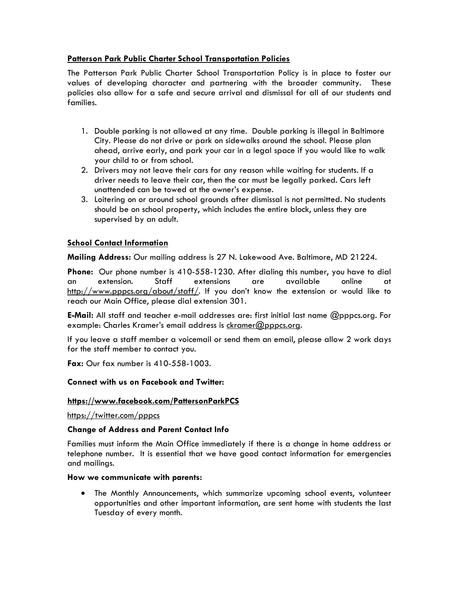# **Patterson Park Public Charter School Transportation Policies**

The Patterson Park Public Charter School Transportation Policy is in place to foster our values of developing character and partnering with the broader community. These policies also allow for a safe and secure arrival and dismissal for all of our students and families.

- 1. Double parking is not allowed at any time. Double parking is illegal in Baltimore City. Please do not drive or park on sidewalks around the school. Please plan ahead, arrive early, and park your car in a legal space if you would like to walk your child to or from school.
- 2. Drivers may not leave their cars for any reason while waiting for students. If a driver needs to leave their car, then the car must be legally parked. Cars left unattended can be towed at the owner's expense.
- 3. Loitering on or around school grounds after dismissal is not permitted. No students should be on school property, which includes the entire block, unless they are supervised by an adult.

# **School Contact Information**

**Mailing Address:** Our mailing address is 27 N. Lakewood Ave. Baltimore, MD 21224.

**Phone:** Our phone number is 410-558-1230. After dialing this number, you have to dial an extension. Staff extensions are available online at http://www.pppcs.org/about/staff/. If you don't know the extension or would like to reach our Main Office, please dial extension 301.

**E-Mail:** All staff and teacher e-mail addresses are: first initial last name @pppcs.org. For example: Charles Kramer's email address is ckramer@pppcs.org.

If you leave a staff member a voicemail or send them an email, please allow 2 work days for the staff member to contact you.

**Fax:** Our fax number is 410-558-1003.

# **Connect with us on Facebook and Twitter:**

# **https://www.facebook.com/PattersonParkPCS**

https://twitter.com/pppcs

# **Change of Address and Parent Contact Info**

Families must inform the Main Office immediately if there is a change in home address or telephone number. It is essential that we have good contact information for emergencies and mailings.

# **How we communicate with parents:**

 The Monthly Announcements, which summarize upcoming school events, volunteer opportunities and other important information, are sent home with students the last Tuesday of every month.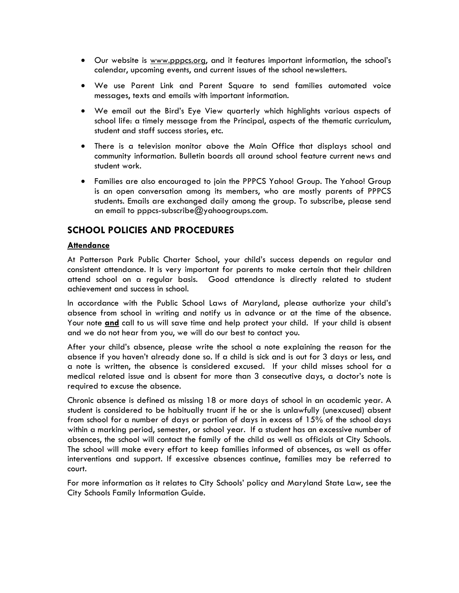- Our website is www.pppcs.org, and it features important information, the school's calendar, upcoming events, and current issues of the school newsletters.
- We use Parent Link and Parent Square to send families automated voice messages, texts and emails with important information.
- We email out the Bird's Eye View quarterly which highlights various aspects of school life: a timely message from the Principal, aspects of the thematic curriculum, student and staff success stories, etc.
- There is a television monitor above the Main Office that displays school and community information. Bulletin boards all around school feature current news and student work.
- Families are also encouraged to join the PPPCS Yahoo! Group. The Yahoo! Group is an open conversation among its members, who are mostly parents of PPPCS students. Emails are exchanged daily among the group. To subscribe, please send an email to pppcs-subscribe@yahoogroups.com.

# **SCHOOL POLICIES AND PROCEDURES**

# **Attendance**

At Patterson Park Public Charter School, your child's success depends on regular and consistent attendance. It is very important for parents to make certain that their children attend school on a regular basis. Good attendance is directly related to student achievement and success in school.

In accordance with the Public School Laws of Maryland, please authorize your child's absence from school in writing and notify us in advance or at the time of the absence. Your note **and** call to us will save time and help protect your child. If your child is absent and we do not hear from you, we will do our best to contact you.

After your child's absence, please write the school a note explaining the reason for the absence if you haven't already done so. If a child is sick and is out for 3 days or less, and a note is written, the absence is considered excused. If your child misses school for a medical related issue and is absent for more than 3 consecutive days, a doctor's note is required to excuse the absence.

Chronic absence is defined as missing 18 or more days of school in an academic year. A student is considered to be habitually truant if he or she is unlawfully (unexcused) absent from school for a number of days or portion of days in excess of 15% of the school days within a marking period, semester, or school year. If a student has an excessive number of absences, the school will contact the family of the child as well as officials at City Schools. The school will make every effort to keep families informed of absences, as well as offer interventions and support. If excessive absences continue, families may be referred to court.

For more information as it relates to City Schools' policy and Maryland State Law, see the City Schools Family Information Guide.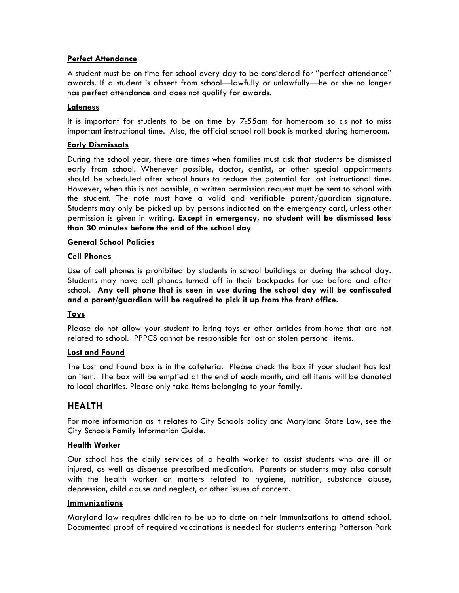# **Perfect Attendance**

A student must be on time for school every day to be considered for "perfect attendance" awards. If a student is absent from school—lawfully or unlawfully—he or she no longer has perfect attendance and does not qualify for awards.

# **Lateness**

It is important for students to be on time by 7:55am for homeroom so as not to miss important instructional time. Also, the official school roll book is marked during homeroom.

# **Early Dismissals**

During the school year, there are times when families must ask that students be dismissed early from school. Whenever possible, doctor, dentist, or other special appointments should be scheduled after school hours to reduce the potential for lost instructional time. However, when this is not possible, a written permission request must be sent to school with the student. The note must have a valid and verifiable parent/guardian signature. Students may only be picked up by persons indicated on the emergency card, unless other permission is given in writing. **Except in emergency, no student will be dismissed less than 30 minutes before the end of the school day**.

# **General School Policies**

# **Cell Phones**

Use of cell phones is prohibited by students in school buildings or during the school day. Students may have cell phones turned off in their backpacks for use before and after school. **Any cell phone that is seen in use during the school day will be confiscated and a parent/guardian will be required to pick it up from the front office.** 

# **Toys**

Please do not allow your student to bring toys or other articles from home that are not related to school. PPPCS cannot be responsible for lost or stolen personal items.

# **Lost and Found**

The Lost and Found box is in the cafeteria. Please check the box if your student has lost an item. The box will be emptied at the end of each month, and all items will be donated to local charities. Please only take items belonging to your family.

# **HEALTH**

For more information as it relates to City Schools policy and Maryland State Law, see the City Schools Family Information Guide.

# **Health Worker**

Our school has the daily services of a health worker to assist students who are ill or injured, as well as dispense prescribed medication. Parents or students may also consult with the health worker on matters related to hygiene, nutrition, substance abuse, depression, child abuse and neglect, or other issues of concern.

# **Immunizations**

Maryland law requires children to be up to date on their immunizations to attend school. Documented proof of required vaccinations is needed for students entering Patterson Park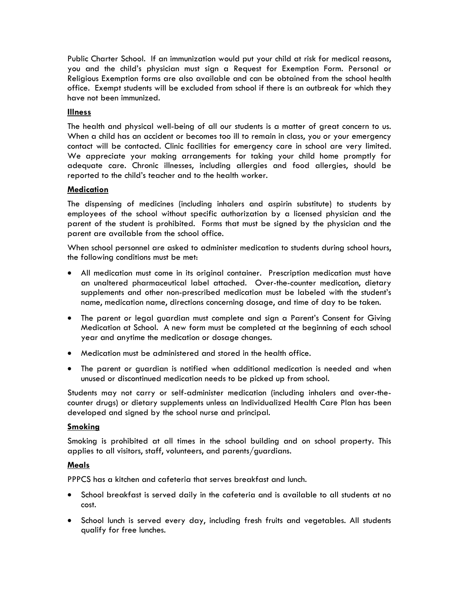Public Charter School. If an immunization would put your child at risk for medical reasons, you and the child's physician must sign a Request for Exemption Form. Personal or Religious Exemption forms are also available and can be obtained from the school health office. Exempt students will be excluded from school if there is an outbreak for which they have not been immunized.

# **Illness**

The health and physical well-being of all our students is a matter of great concern to us. When a child has an accident or becomes too ill to remain in class, you or your emergency contact will be contacted. Clinic facilities for emergency care in school are very limited. We appreciate your making arrangements for taking your child home promptly for adequate care. Chronic illnesses, including allergies and food allergies, should be reported to the child's teacher and to the health worker.

# **Medication**

The dispensing of medicines (including inhalers and aspirin substitute) to students by employees of the school without specific authorization by a licensed physician and the parent of the student is prohibited. Forms that must be signed by the physician and the parent are available from the school office.

When school personnel are asked to administer medication to students during school hours, the following conditions must be met:

- All medication must come in its original container. Prescription medication must have an unaltered pharmaceutical label attached. Over-the-counter medication, dietary supplements and other non-prescribed medication must be labeled with the student's name, medication name, directions concerning dosage, and time of day to be taken.
- The parent or legal guardian must complete and sign a Parent's Consent for Giving Medication at School. A new form must be completed at the beginning of each school year and anytime the medication or dosage changes.
- Medication must be administered and stored in the health office.
- The parent or guardian is notified when additional medication is needed and when unused or discontinued medication needs to be picked up from school.

Students may not carry or self-administer medication (including inhalers and over-thecounter drugs) or dietary supplements unless an Individualized Health Care Plan has been developed and signed by the school nurse and principal.

# **Smoking**

Smoking is prohibited at all times in the school building and on school property. This applies to all visitors, staff, volunteers, and parents/guardians.

# **Meals**

PPPCS has a kitchen and cafeteria that serves breakfast and lunch.

- School breakfast is served daily in the cafeteria and is available to all students at no cost.
- School lunch is served every day, including fresh fruits and vegetables. All students qualify for free lunches.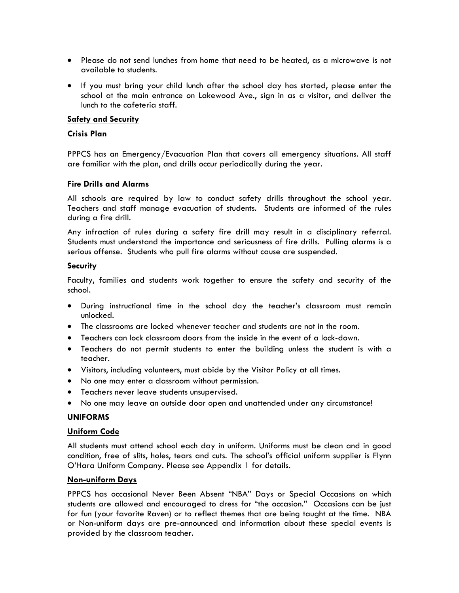- Please do not send lunches from home that need to be heated, as a microwave is not available to students.
- If you must bring your child lunch after the school day has started, please enter the school at the main entrance on Lakewood Ave., sign in as a visitor, and deliver the lunch to the cafeteria staff.

## **Safety and Security**

# **Crisis Plan**

PPPCS has an Emergency/Evacuation Plan that covers all emergency situations. All staff are familiar with the plan, and drills occur periodically during the year.

## **Fire Drills and Alarms**

All schools are required by law to conduct safety drills throughout the school year. Teachers and staff manage evacuation of students. Students are informed of the rules during a fire drill.

Any infraction of rules during a safety fire drill may result in a disciplinary referral. Students must understand the importance and seriousness of fire drills. Pulling alarms is a serious offense. Students who pull fire alarms without cause are suspended.

## **Security**

Faculty, families and students work together to ensure the safety and security of the school.

- During instructional time in the school day the teacher's classroom must remain unlocked.
- The classrooms are locked whenever teacher and students are not in the room.
- Teachers can lock classroom doors from the inside in the event of a lock-down.
- Teachers do not permit students to enter the building unless the student is with a teacher.
- Visitors, including volunteers, must abide by the Visitor Policy at all times.
- No one may enter a classroom without permission.
- Teachers never leave students unsupervised.
- No one may leave an outside door open and unattended under any circumstance!

# **UNIFORMS**

#### **Uniform Code**

All students must attend school each day in uniform. Uniforms must be clean and in good condition, free of slits, holes, tears and cuts. The school's official uniform supplier is Flynn O'Hara Uniform Company. Please see Appendix 1 for details.

# **Non-uniform Days**

PPPCS has occasional Never Been Absent "NBA" Days or Special Occasions on which students are allowed and encouraged to dress for "the occasion." Occasions can be just for fun (your favorite Raven) or to reflect themes that are being taught at the time. NBA or Non-uniform days are pre-announced and information about these special events is provided by the classroom teacher.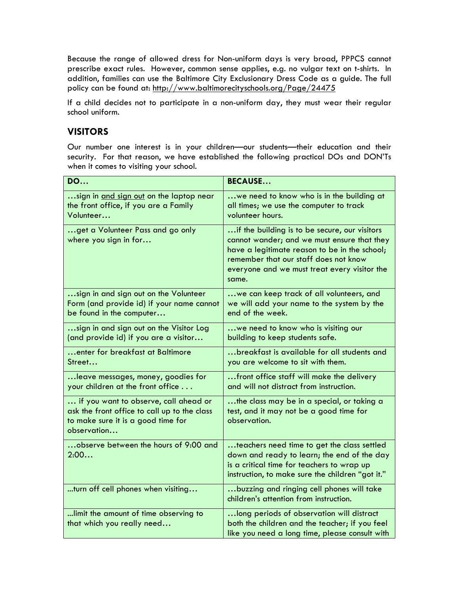Because the range of allowed dress for Non-uniform days is very broad, PPPCS cannot prescribe exact rules. However, common sense applies, e.g. no vulgar text on t-shirts. In addition, families can use the Baltimore City Exclusionary Dress Code as a guide. The full policy can be found at: http://www.baltimorecityschools.org/Page/24475

If a child decides not to participate in a non-uniform day, they must wear their regular school uniform.

# **VISITORS**

Our number one interest is in your children—our students—their education and their security. For that reason, we have established the following practical DOs and DON'Ts when it comes to visiting your school.

| <b>DO</b>                                                                                                                                  | <b>BECAUSE</b>                                                                                                                                                                                                                                  |
|--------------------------------------------------------------------------------------------------------------------------------------------|-------------------------------------------------------------------------------------------------------------------------------------------------------------------------------------------------------------------------------------------------|
| sign in and sign out on the laptop near<br>the front office, if you are a Family<br>Volunteer                                              | we need to know who is in the building at<br>all times; we use the computer to track<br>volunteer hours.                                                                                                                                        |
| get a Volunteer Pass and go only<br>where you sign in for                                                                                  | if the building is to be secure, our visitors<br>cannot wander; and we must ensure that they<br>have a legitimate reason to be in the school;<br>remember that our staff does not know<br>everyone and we must treat every visitor the<br>same. |
| sign in and sign out on the Volunteer<br>Form (and provide id) if your name cannot<br>be found in the computer                             | we can keep track of all volunteers, and<br>we will add your name to the system by the<br>end of the week.                                                                                                                                      |
| sign in and sign out on the Visitor Log<br>(and provide id) if you are a visitor                                                           | we need to know who is visiting our<br>building to keep students safe.                                                                                                                                                                          |
| enter for breakfast at Baltimore<br>Street                                                                                                 | breakfast is available for all students and<br>you are welcome to sit with them.                                                                                                                                                                |
| leave messages, money, goodies for<br>your children at the front office                                                                    | front office staff will make the delivery<br>and will not distract from instruction.                                                                                                                                                            |
| if you want to observe, call ahead or<br>ask the front office to call up to the class<br>to make sure it is a good time for<br>observation | the class may be in a special, or taking a<br>test, and it may not be a good time for<br>observation.                                                                                                                                           |
| observe between the hours of 9:00 and<br>2:00                                                                                              | teachers need time to get the class settled<br>down and ready to learn; the end of the day<br>is a critical time for teachers to wrap up<br>instruction, to make sure the children "got it."                                                    |
| turn off cell phones when visiting                                                                                                         | buzzing and ringing cell phones will take<br>children's attention from instruction.                                                                                                                                                             |
| limit the amount of time observing to<br>that which you really need                                                                        | long periods of observation will distract<br>both the children and the teacher; if you feel<br>like you need a long time, please consult with                                                                                                   |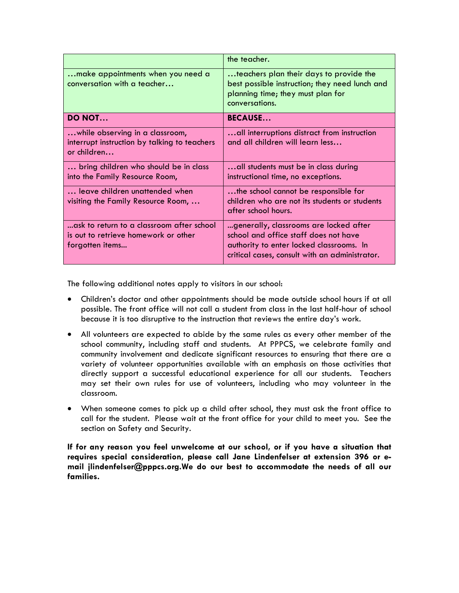|                                                                                                      | the teacher.                                                                                                                                                                  |
|------------------------------------------------------------------------------------------------------|-------------------------------------------------------------------------------------------------------------------------------------------------------------------------------|
| make appointments when you need a<br>conversation with a teacher                                     | teachers plan their days to provide the<br>best possible instruction; they need lunch and<br>planning time; they must plan for<br>conversations.                              |
| <b>DO NOT</b>                                                                                        | <b>BECAUSE</b>                                                                                                                                                                |
| while observing in a classroom,<br>interrupt instruction by talking to teachers<br>or children       | all interruptions distract from instruction<br>and all children will learn less                                                                                               |
| bring children who should be in class<br>into the Family Resource Room,                              | all students must be in class during<br>instructional time, no exceptions.                                                                                                    |
| leave children unattended when<br>visiting the Family Resource Room,                                 | the school cannot be responsible for<br>children who are not its students or students<br>after school hours.                                                                  |
| ask to return to a classroom after school<br>is out to retrieve homework or other<br>forgotten items | generally, classrooms are locked after<br>school and office staff does not have<br>authority to enter locked classrooms. In<br>critical cases, consult with an administrator. |

The following additional notes apply to visitors in our school:

- Children's doctor and other appointments should be made outside school hours if at all possible. The front office will not call a student from class in the last half-hour of school because it is too disruptive to the instruction that reviews the entire day's work.
- All volunteers are expected to abide by the same rules as every other member of the school community, including staff and students. At PPPCS, we celebrate family and community involvement and dedicate significant resources to ensuring that there are a variety of volunteer opportunities available with an emphasis on those activities that directly support a successful educational experience for all our students. Teachers may set their own rules for use of volunteers, including who may volunteer in the classroom.
- When someone comes to pick up a child after school, they must ask the front office to call for the student. Please wait at the front office for your child to meet you. See the section on Safety and Security.

**If for any reason you feel unwelcome at our school, or if you have a situation that requires special consideration, please call Jane Lindenfelser at extension 396 or email jlindenfelser@pppcs.org.We do our best to accommodate the needs of all our families.**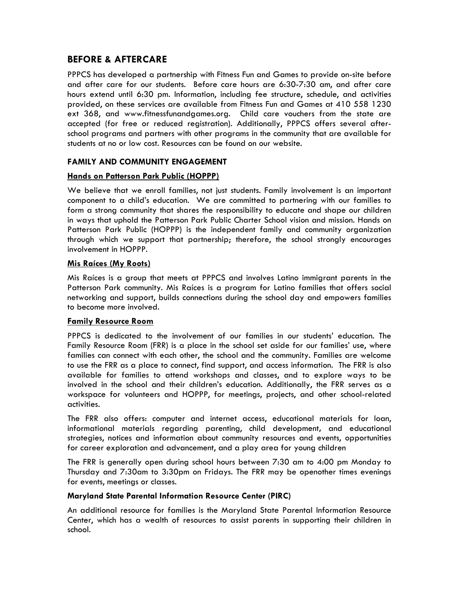# **BEFORE & AFTERCARE**

PPPCS has developed a partnership with Fitness Fun and Games to provide on-site before and after care for our students. Before care hours are 6:30-7:30 am, and after care hours extend until 6:30 pm. Information, including fee structure, schedule, and activities provided, on these services are available from Fitness Fun and Games at 410 558 1230 ext 368, and www.fitnessfunandgames.org. Child care vouchers from the state are accepted (for free or reduced registration). Additionally, PPPCS offers several afterschool programs and partners with other programs in the community that are available for students at no or low cost. Resources can be found on our website.

# **FAMILY AND COMMUNITY ENGAGEMENT**

# **Hands on Patterson Park Public (HOPPP)**

We believe that we enroll families, not just students. Family involvement is an important component to a child's education. We are committed to partnering with our families to form a strong community that shares the responsibility to educate and shape our children in ways that uphold the Patterson Park Public Charter School vision and mission. Hands on Patterson Park Public (HOPPP) is the independent family and community organization through which we support that partnership; therefore, the school strongly encourages involvement in HOPPP.

# **Mis Raíces (My Roots)**

Mis Raíces is a group that meets at PPPCS and involves Latino immigrant parents in the Patterson Park community. Mis Raíces is a program for Latino families that offers social networking and support, builds connections during the school day and empowers families to become more involved.

# **Family Resource Room**

PPPCS is dedicated to the involvement of our families in our students' education. The Family Resource Room (FRR) is a place in the school set aside for our families' use, where families can connect with each other, the school and the community. Families are welcome to use the FRR as a place to connect, find support, and access information. The FRR is also available for families to attend workshops and classes, and to explore ways to be involved in the school and their children's education. Additionally, the FRR serves as a workspace for volunteers and HOPPP, for meetings, projects, and other school-related activities.

The FRR also offers: computer and internet access, educational materials for loan, informational materials regarding parenting, child development**,** and educational strategies, notices and information about community resources and events, opportunities for career exploration and advancement, and a play area for young children

The FRR is generally open during school hours between 7:30 am to 4:00 pm Monday to Thursday and 7:30am to 3:30pm on Fridays. The FRR may be openother times evenings for events, meetings or classes.

# **Maryland State Parental Information Resource Center (PIRC)**

An additional resource for families is the Maryland State Parental Information Resource Center, which has a wealth of resources to assist parents in supporting their children in school.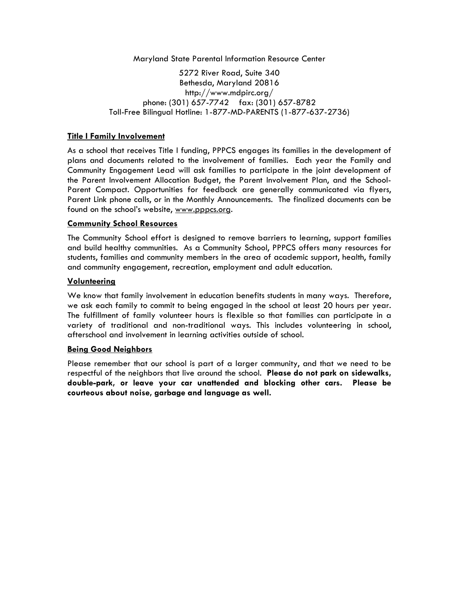Maryland State Parental Information Resource Center

5272 River Road, Suite 340 Bethesda, Maryland 20816 http://www.mdpirc.org/ phone: (301) 657-7742 fax: (301) 657-8782 Toll-Free Bilingual Hotline: 1-877-MD-PARENTS (1-877-637-2736)

# **Title I Family Involvement**

As a school that receives Title I funding, PPPCS engages its families in the development of plans and documents related to the involvement of families. Each year the Family and Community Engagement Lead will ask families to participate in the joint development of the Parent Involvement Allocation Budget, the Parent Involvement Plan, and the School-Parent Compact. Opportunities for feedback are generally communicated via flyers, Parent Link phone calls, or in the Monthly Announcements. The finalized documents can be found on the school's website, www.pppcs.org.

## **Community School Resources**

The Community School effort is designed to remove barriers to learning, support families and build healthy communities. As a Community School, PPPCS offers many resources for students, families and community members in the area of academic support, health, family and community engagement, recreation, employment and adult education.

## **Volunteering**

We know that family involvement in education benefits students in many ways. Therefore, we ask each family to commit to being engaged in the school at least 20 hours per year. The fulfillment of family volunteer hours is flexible so that families can participate in a variety of traditional and non-traditional ways. This includes volunteering in school, afterschool and involvement in learning activities outside of school.

#### **Being Good Neighbors**

Please remember that our school is part of a larger community, and that we need to be respectful of the neighbors that live around the school. **Please do not park on sidewalks, double-park, or leave your car unattended and blocking other cars. Please be courteous about noise, garbage and language as well.**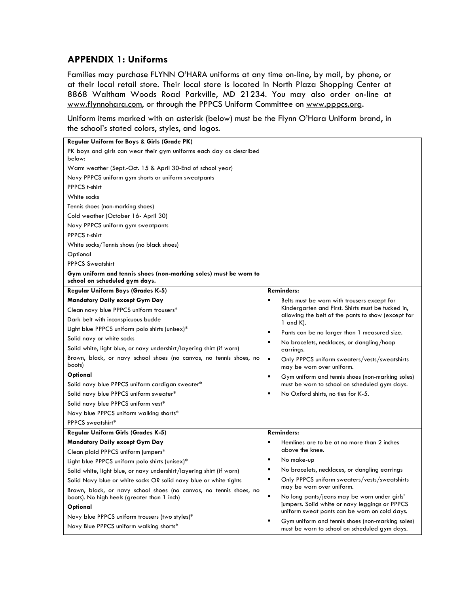# **APPENDIX 1: Uniforms**

Families may purchase FLYNN O'HARA uniforms at any time on-line, by mail, by phone, or at their local retail store. Their local store is located in North Plaza Shopping Center at 8868 Waltham Woods Road Parkville, MD 21234. You may also order on-line at www.flynnohara.com, or through the PPPCS Uniform Committee on www.pppcs.org.

Uniform items marked with an asterisk (below) must be the Flynn O'Hara Uniform brand, in the school's stated colors, styles, and logos.

| Regular Uniform for Boys & Girls (Grade PK)                                                                       |                                                                                                         |
|-------------------------------------------------------------------------------------------------------------------|---------------------------------------------------------------------------------------------------------|
| PK boys and girls can wear their gym uniforms each day as described<br>below:                                     |                                                                                                         |
| Warm weather (Sept.-Oct. 15 & April 30-End of school year)                                                        |                                                                                                         |
| Navy PPPCS uniform gym shorts or uniform sweatpants                                                               |                                                                                                         |
| PPPCS t-shirt                                                                                                     |                                                                                                         |
| White socks                                                                                                       |                                                                                                         |
| Tennis shoes (non-marking shoes)                                                                                  |                                                                                                         |
| Cold weather (October 16- April 30)                                                                               |                                                                                                         |
| Navy PPPCS uniform gym sweatpants                                                                                 |                                                                                                         |
| PPPCS t-shirt                                                                                                     |                                                                                                         |
| White socks/Tennis shoes (no black shoes)                                                                         |                                                                                                         |
| Optional                                                                                                          |                                                                                                         |
| <b>PPPCS Sweatshirt</b>                                                                                           |                                                                                                         |
| Gym uniform and tennis shoes (non-marking soles) must be worn to<br>school on scheduled gym days.                 |                                                                                                         |
| Regular Uniform Boys (Grades K-5)                                                                                 | <b>Reminders:</b>                                                                                       |
| Mandatory Daily except Gym Day                                                                                    | Belts must be worn with trousers except for                                                             |
| Clean navy blue PPPCS uniform trousers*                                                                           | Kindergarten and First. Shirts must be tucked in,<br>allowing the belt of the pants to show (except for |
| Dark belt with inconspicuous buckle                                                                               | 1 and $K$ ).                                                                                            |
| Light blue PPPCS uniform polo shirts (unisex)*                                                                    | Pants can be no larger than 1 measured size.                                                            |
| Solid navy or white socks                                                                                         | No bracelets, necklaces, or dangling/hoop                                                               |
| Solid white, light blue, or navy undershirt/layering shirt (if worn)                                              | earrings.                                                                                               |
| Brown, black, or navy school shoes (no canvas, no tennis shoes, no<br>boots)                                      | Only PPPCS uniform sweaters/vests/sweatshirts<br>may be worn over uniform.                              |
| Optional                                                                                                          | Gym uniform and tennis shoes (non-marking soles)<br>٠                                                   |
| Solid navy blue PPPCS uniform cardigan sweater*                                                                   | must be worn to school on scheduled gym days.                                                           |
| Solid navy blue PPPCS uniform sweater*                                                                            | No Oxford shirts, no ties for K-5.                                                                      |
| Solid navy blue PPPCS uniform vest*                                                                               |                                                                                                         |
| Navy blue PPPCS uniform walking shorts*                                                                           |                                                                                                         |
| PPPCS sweatshirt*                                                                                                 |                                                                                                         |
| Regular Uniform Girls (Grades K-5)                                                                                | <b>Reminders:</b>                                                                                       |
| Mandatory Daily except Gym Day                                                                                    | Hemlines are to be at no more than 2 inches                                                             |
| Clean plaid PPPCS uniform jumpers*                                                                                | above the knee.                                                                                         |
| Light blue PPPCS uniform polo shirts (unisex)*                                                                    | No make-up                                                                                              |
| Solid white, light blue, or navy undershirt/layering shirt (if worn)                                              | No bracelets, necklaces, or dangling earrings                                                           |
| Solid Navy blue or white socks OR solid navy blue or white tights                                                 | Only PPPCS uniform sweaters/vests/sweatshirts<br>may be worn over uniform.                              |
| Brown, black, or navy school shoes (no canvas, no tennis shoes, no<br>boots). No high heels (greater than 1 inch) | No long pants/jeans may be worn under girls'                                                            |
| Optional                                                                                                          | jumpers. Solid white or navy leggings or PPPCS<br>uniform sweat pants can be worn on cold days.         |
| Navy blue PPPCS uniform trousers (two styles)*                                                                    | Gym uniform and tennis shoes (non-marking soles)                                                        |
| Navy Blue PPPCS uniform walking shorts*                                                                           | must be worn to school on scheduled gym days.                                                           |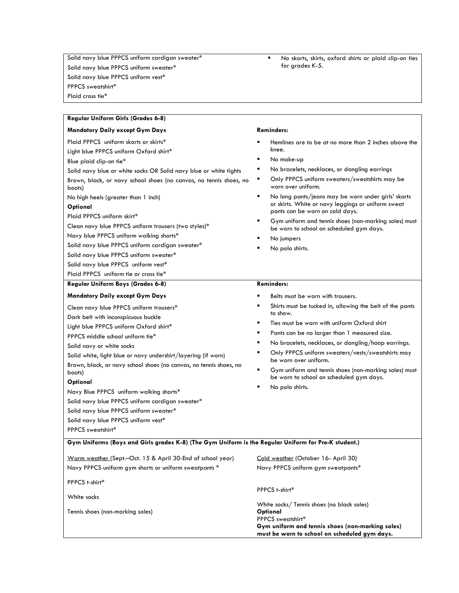Solid navy blue PPPCS uniform cardigan sweater\* Solid navy blue PPPCS uniform sweater\* Solid navy blue PPPCS uniform vest\* PPPCS sweatshirt\* Plaid cross tie\*

 No skorts, skirts, oxford shirts or plaid clip-on ties for grades K-5.

| <b>Regular Uniform Girls (Grades 6-8)</b>                                                                                                                                                                                                                                                                                                                                                                                                                                                                                                                                                                                        |                                                                                                                                                                                                                                                                                                                                                                                                                                                                                                                                                   |  |
|----------------------------------------------------------------------------------------------------------------------------------------------------------------------------------------------------------------------------------------------------------------------------------------------------------------------------------------------------------------------------------------------------------------------------------------------------------------------------------------------------------------------------------------------------------------------------------------------------------------------------------|---------------------------------------------------------------------------------------------------------------------------------------------------------------------------------------------------------------------------------------------------------------------------------------------------------------------------------------------------------------------------------------------------------------------------------------------------------------------------------------------------------------------------------------------------|--|
| <b>Mandatory Daily except Gym Days</b>                                                                                                                                                                                                                                                                                                                                                                                                                                                                                                                                                                                           | <b>Reminders:</b>                                                                                                                                                                                                                                                                                                                                                                                                                                                                                                                                 |  |
| Plaid PPPCS uniform skorts or skirts*<br>Light blue PPPCS uniform Oxford shirt*<br>Blue plaid clip-on tie*<br>Solid navy blue or white socks OR Solid navy blue or white tights<br>Brown, black, or navy school shoes (no canvas, no tennis shoes, no<br>boots)<br>No high heels (greater than 1 inch)<br>Optional<br>Plaid PPPCS uniform skirt*<br>Clean navy blue PPPCS uniform trousers (two styles)*<br>Navy blue PPPCS uniform walking shorts*<br>Solid navy blue PPPCS uniform cardigan sweater*<br>Solid navy blue PPPCS uniform sweater*<br>Solid navy blue PPPCS uniform vest*<br>Plaid PPPCS uniform tie or cross tie* | Hemlines are to be at no more than 2 inches above the<br>knee.<br>٠<br>No make-up<br>No bracelets, necklaces, or dangling earrings<br>Only PPPCS uniform sweaters/sweatshirts may be<br>٠<br>worn over uniform.<br>No long pants/jeans may be worn under girls' skorts<br>$\blacksquare$<br>or skirts. White or navy leggings or uniform sweat<br>pants can be worn on cold days.<br>Gym uniform and tennis shoes (non-marking soles) must<br>٠<br>be worn to school on scheduled gym days.<br>No jumpers<br>No polo shirts.<br><b>Reminders:</b> |  |
| Regular Uniform Boys (Grades 6-8)                                                                                                                                                                                                                                                                                                                                                                                                                                                                                                                                                                                                |                                                                                                                                                                                                                                                                                                                                                                                                                                                                                                                                                   |  |
| <b>Mandatory Daily except Gym Days</b><br>Clean navy blue PPPCS uniform trousers*<br>Dark belt with inconspicuous buckle<br>Light blue PPPCS uniform Oxford shirt*<br>PPPCS middle school uniform tie*<br>Solid navy or white socks<br>Solid white, light blue or navy undershirt/layering (if worn)<br>Brown, black, or navy school shoes (no canvas, no tennis shoes, no<br>boots)<br>Optional<br>Navy Blue PPPCS uniform walking shorts*<br>Solid navy blue PPPCS uniform cardigan sweater*<br>Solid navy blue PPPCS uniform sweater*<br>Solid navy blue PPPCS uniform vest*<br>PPPCS sweatshirt*                             | Belts must be worn with trousers.<br>Shirts must be tucked in, allowing the belt of the pants<br>to show.<br>Ties must be worn with uniform Oxford shirt<br>٠<br>Pants can be no larger than 1 measured size.<br>٠<br>No bracelets, necklaces, or dangling/hoop earrings.<br>٠<br>Only PPPCS uniform sweaters/vests/sweatshirts may<br>be worn over uniform.<br>Gym uniform and tennis shoes (non-marking soles) must<br>٠<br>be worn to school on scheduled gym days.<br>No polo shirts.<br>٠                                                    |  |
| Gym Uniforms (Boys and Girls grades K-8) (The Gym Uniform is the Regular Uniform for Pre-K student.)                                                                                                                                                                                                                                                                                                                                                                                                                                                                                                                             |                                                                                                                                                                                                                                                                                                                                                                                                                                                                                                                                                   |  |
| Warm weather (Sept.-Oct. 15 & April 30-End of school year)<br>Navy PPPCS uniform gym shorts or uniform sweatpants *                                                                                                                                                                                                                                                                                                                                                                                                                                                                                                              | Cold weather (October 16- April 30)<br>Navy PPPCS uniform gym sweatpants*                                                                                                                                                                                                                                                                                                                                                                                                                                                                         |  |
| PPPCS t-shirt*<br>White socks<br>Tennis shoes (non-marking soles)                                                                                                                                                                                                                                                                                                                                                                                                                                                                                                                                                                | PPPCS t-shirt*<br>White socks/ Tennis shoes (no black soles)<br>Optional<br>PPPCS sweatshirt*<br>Gym uniform and tennis shoes (non-marking soles)<br>must be worn to school on scheduled gym days.                                                                                                                                                                                                                                                                                                                                                |  |